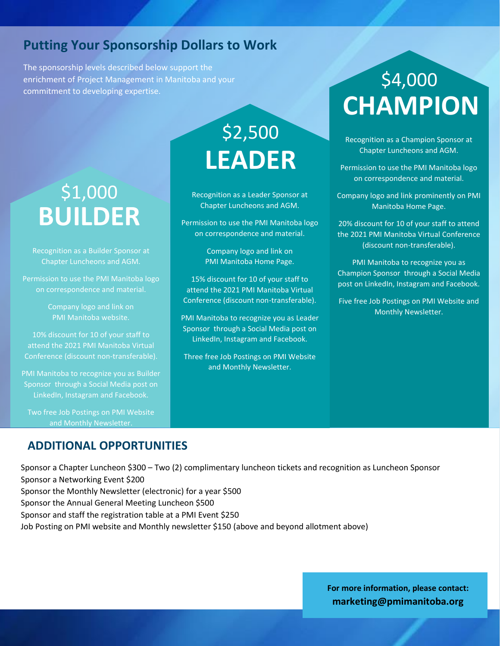#### **Putting Your Sponsorship Dollars to Work**

 The sponsorship levels described below support the enrichment of Project Management in Manitoba and your commitment to developing expertise.

### **BUILDER** \$1,000

Recognition as a Builder Sponsor at Chapter Luncheons and AGM.

Permission to use the PMI Manitoba logo on correspondence and material.

> Company logo and link on PMI Manitoba website.

10% discount for 10 of your staff to attend the 2021 PMI Manitoba Virtual Conference (discount non-transferable).

PMI Manitoba to recognize you as Builder Sponsor through a Social Media post on LinkedIn, Instagram and Facebook.

Two free Job Postings on PMI Website

#### **ADDITIONAL OPPORTUNITIES**

Sponsor a Chapter Luncheon \$300 – Two (2) complimentary luncheon tickets and recognition as Luncheon Sponsor Sponsor a Networking Event \$200 Sponsor the Monthly Newsletter (electronic) for a year \$500 Sponsor the Annual General Meeting Luncheon \$500 Sponsor and staff the registration table at a PMI Event \$250

**LEADER**

\$2,500

Recognition as a Leader Sponsor at Chapter Luncheons and AGM.

Permission to use the PMI Manitoba logo on correspondence and material.

> Company logo and link on PMI Manitoba Home Page.

15% discount for 10 of your staff to attend the 2021 PMI Manitoba Virtual Conference (discount non-transferable).

PMI Manitoba to recognize you as Leader Sponsor through a Social Media post on LinkedIn, Instagram and Facebook.

Three free Job Postings on PMI Website and Monthly Newsletter.

Job Posting on PMI website and Monthly newsletter \$150 (above and beyond allotment above)

## **CHAMPION** \$4,000

Recognition as a Champion Sponsor at Chapter Luncheons and AGM.

Permission to use the PMI Manitoba logo on correspondence and material.

Company logo and link prominently on PMI Manitoba Home Page.

20% discount for 10 of your staff to attend the 2021 PMI Manitoba Virtual Conference (discount non-transferable).

PMI Manitoba to recognize you as Champion Sponsor through a Social Media post on LinkedIn, Instagram and Facebook.

Five free Job Postings on PMI Website and Monthly Newsletter.

**For more information, please contact: marketing@pmimanitoba.org**